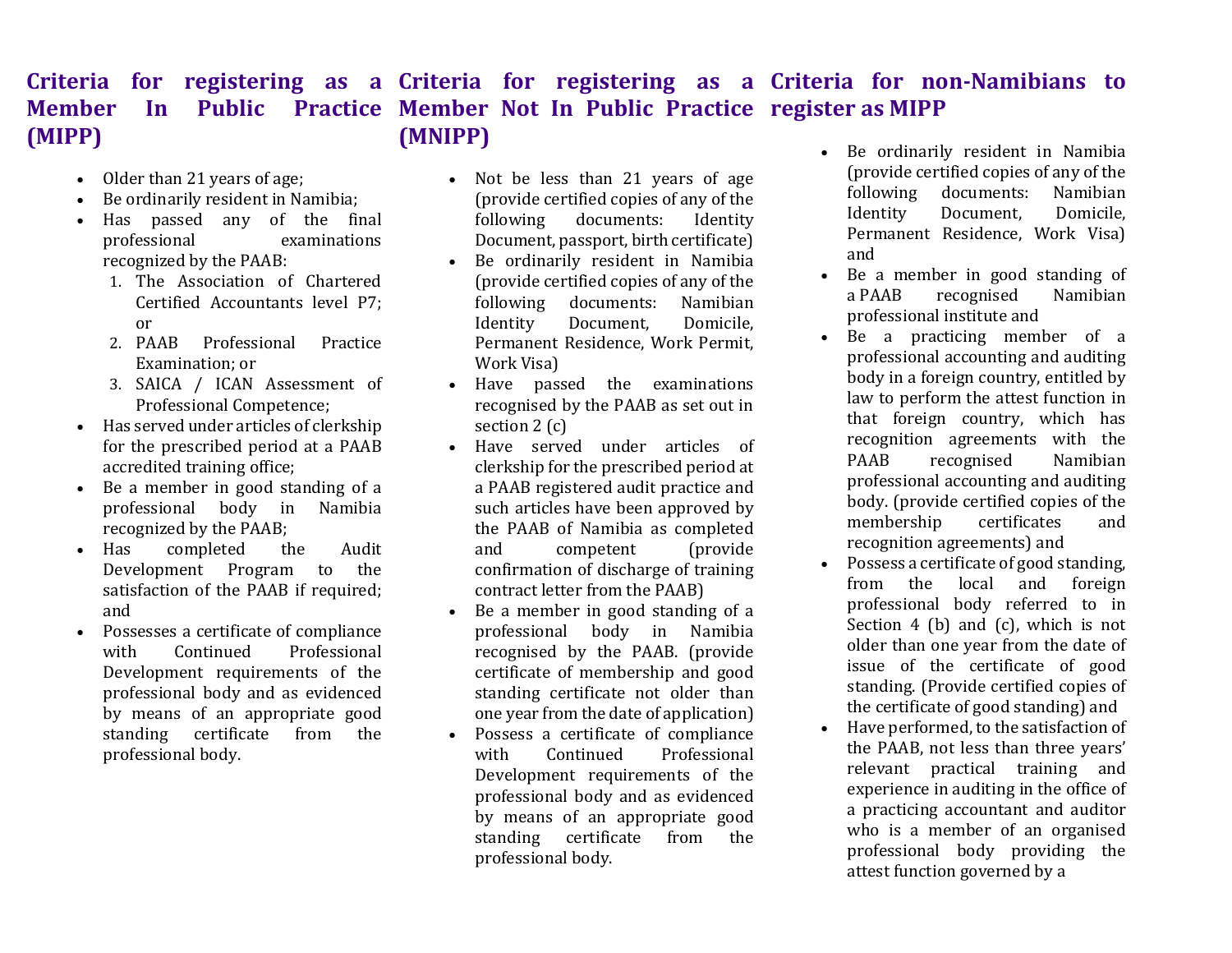## Criteria for registering as a Criteria for registering as a Criteria for non-Namibians to Member In Public Practice Member Not In Public Practice register as MIPP (MIPP) (MNIPP)

- Older than 21 years of age;
- Be ordinarily resident in Namibia;
- Has passed any of the final professional examinations recognized by the PAAB:
	- 1. The Association of Chartered Certified Accountants level P7; or
	- 2. PAAB Professional Practice Examination; or
	- 3. SAICA / ICAN Assessment of Professional Competence;
- Has served under articles of clerkship for the prescribed period at a PAAB accredited training office;
- Be a member in good standing of a professional body in Namibia recognized by the PAAB;
- Has completed the Audit Development Program to the satisfaction of the PAAB if required; and
- Possesses a certificate of compliance with Continued Professional Development requirements of the professional body and as evidenced by means of an appropriate good standing certificate from the professional body.
- Not be less than 21 years of age (provide certified copies of any of the following documents: Identity Document, passport, birth certificate)
- Be ordinarily resident in Namibia (provide certified copies of any of the following documents: Namibian Identity Document, Domicile, Permanent Residence, Work Permit, Work Visa)
- Have passed the examinations recognised by the PAAB as set out in section 2 (c)
- Have served under articles of clerkship for the prescribed period at a PAAB registered audit practice and such articles have been approved by the PAAB of Namibia as completed and competent (provide confirmation of discharge of training contract letter from the PAAB)
- Be a member in good standing of a professional body in Namibia recognised by the PAAB. (provide certificate of membership and good standing certificate not older than one year from the date of application)
- Possess a certificate of compliance with Continued Professional Development requirements of the professional body and as evidenced by means of an appropriate good standing certificate from the professional body.
- Be ordinarily resident in Namibia (provide certified copies of any of the following documents: Namibian Identity Document, Domicile, Permanent Residence, Work Visa) and
- Be a member in good standing of a PAAB recognised Namibian professional institute and
- Be a practicing member of a professional accounting and auditing body in a foreign country, entitled by law to perform the attest function in that foreign country, which has recognition agreements with the PAAB recognised Namibian professional accounting and auditing body. (provide certified copies of the membership certificates and recognition agreements) and
- Possess a certificate of good standing, from the local and foreign professional body referred to in Section 4 (b) and (c), which is not older than one year from the date of issue of the certificate of good standing. (Provide certified copies of the certificate of good standing) and
- Have performed, to the satisfaction of the PAAB, not less than three years' relevant practical training and experience in auditing in the office of a practicing accountant and auditor who is a member of an organised professional body providing the attest function governed by a